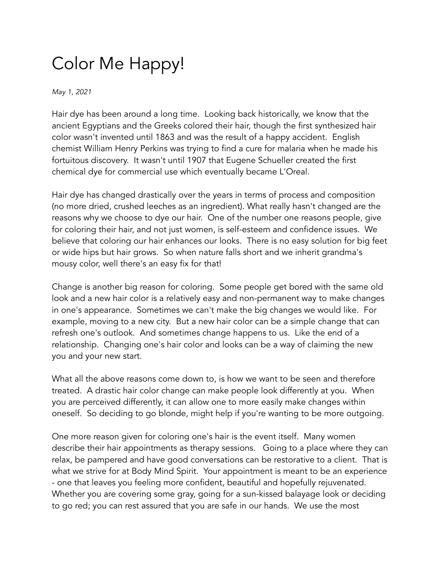## Color Me Happy!

*May 1, 2021*

Hair dye has been around a long time. Looking back historically, we know that the ancient Egyptians and the Greeks colored their hair, though the first synthesized hair color wasn't invented until 1863 and was the result of a happy accident. English chemist William Henry Perkins was trying to find a cure for malaria when he made his fortuitous discovery. It wasn't until 1907 that Eugene Schueller created the first chemical dye for commercial use which eventually became L'Oreal.

Hair dye has changed drastically over the years in terms of process and composition (no more dried, crushed leeches as an ingredient). What really hasn't changed are the reasons why we choose to dye our hair. One of the number one reasons people, give for coloring their hair, and not just women, is self-esteem and confidence issues. We believe that coloring our hair enhances our looks. There is no easy solution for big feet or wide hips but hair grows. So when nature falls short and we inherit grandma's mousy color, well there's an easy fix for that!

Change is another big reason for coloring. Some people get bored with the same old look and a new hair color is a relatively easy and non-permanent way to make changes in one's appearance. Sometimes we can't make the big changes we would like. For example, moving to a new city. But a new hair color can be a simple change that can refresh one's outlook. And sometimes change happens to us. Like the end of a relationship. Changing one's hair color and looks can be a way of claiming the new you and your new start.

What all the above reasons come down to, is how we want to be seen and therefore treated. A drastic hair color change can make people look differently at you. When you are perceived differently, it can allow one to more easily make changes within oneself. So deciding to go blonde, might help if you're wanting to be more outgoing.

One more reason given for coloring one's hair is the event itself. Many women describe their hair appointments as therapy sessions. Going to a place where they can relax, be pampered and have good conversations can be restorative to a client. That is what we strive for at Body Mind Spirit. Your appointment is meant to be an experience - one that leaves you feeling more confident, beautiful and hopefully rejuvenated. Whether you are covering some gray, going for a sun-kissed balayage look or deciding to go red; you can rest assured that you are safe in our hands. We use the most